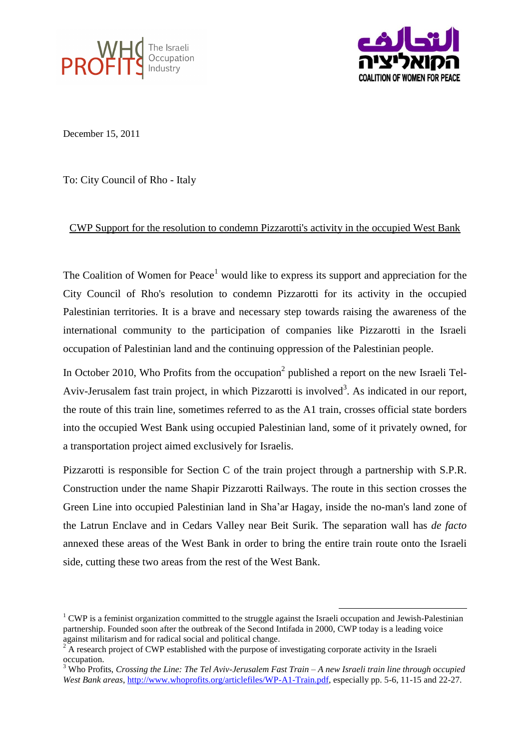



December 15, 2011

To: City Council of Rho - Italy

## CWP Support for the resolution to condemn Pizzarotti's activity in the occupied West Bank

The Coalition of Women for Peace<sup>1</sup> would like to express its support and appreciation for the City Council of Rho's resolution to condemn Pizzarotti for its activity in the occupied Palestinian territories. It is a brave and necessary step towards raising the awareness of the international community to the participation of companies like Pizzarotti in the Israeli occupation of Palestinian land and the continuing oppression of the Palestinian people.

In October 2010, Who Profits from the occupation<sup>2</sup> published a report on the new Israeli Tel-Aviv-Jerusalem fast train project, in which Pizzarotti is involved<sup>3</sup>. As indicated in our report, the route of this train line, sometimes referred to as the A1 train, crosses official state borders into the occupied West Bank using occupied Palestinian land, some of it privately owned, for a transportation project aimed exclusively for Israelis.

Pizzarotti is responsible for Section C of the train project through a partnership with S.P.R. Construction under the name Shapir Pizzarotti Railways. The route in this section crosses the Green Line into occupied Palestinian land in Sha'ar Hagay, inside the no-man's land zone of the Latrun Enclave and in Cedars Valley near Beit Surik. The separation wall has *de facto*  annexed these areas of the West Bank in order to bring the entire train route onto the Israeli side, cutting these two areas from the rest of the West Bank.

1

<sup>&</sup>lt;sup>1</sup> CWP is a feminist organization committed to the struggle against the Israeli occupation and Jewish-Palestinian partnership. Founded soon after the outbreak of the Second Intifada in 2000, CWP today is a leading voice against militarism and for radical social and political change.

 $2\overline{A}$  research project of CWP established with the purpose of investigating corporate activity in the Israeli occupation.

<sup>3</sup> Who Profits, *Crossing the Line: The Tel Aviv-Jerusalem Fast Train – A new Israeli train line through occupied West Bank areas*, [http://www.whoprofits.org/articlefiles/WP-A1-Train.pdf,](http://www.whoprofits.org/articlefiles/WP-A1-Train.pdf) especially pp. 5-6, 11-15 and 22-27.